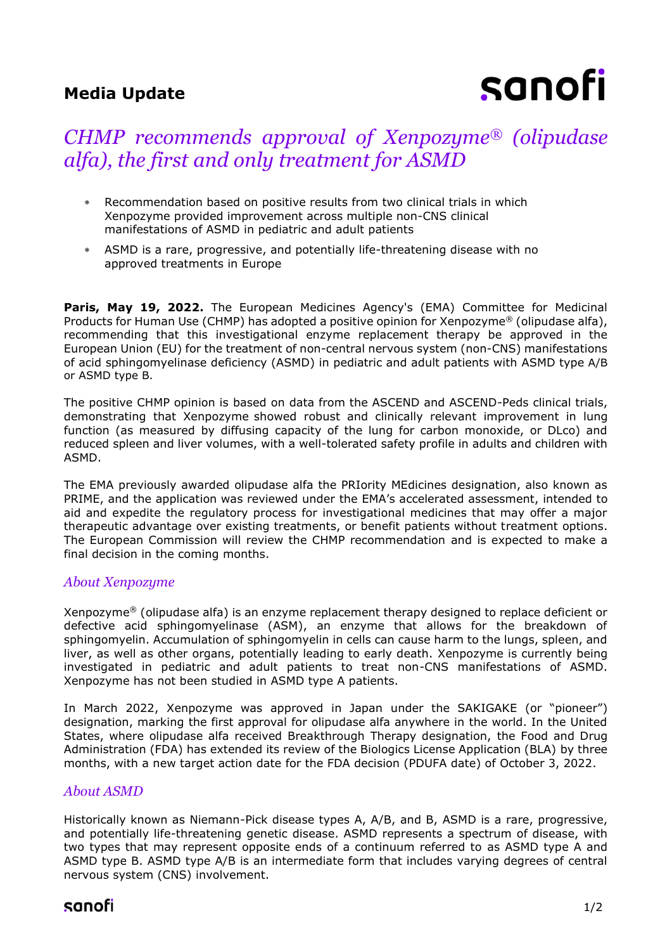## **Media Update**

# sanofi

## *CHMP recommends approval of Xenpozyme® (olipudase alfa), the first and only treatment for ASMD*

- Recommendation based on positive results from two clinical trials in which Xenpozyme provided improvement across multiple non-CNS clinical manifestations of ASMD in pediatric and adult patients
- ASMD is a rare, progressive, and potentially life-threatening disease with no approved treatments in Europe

Paris, May 19, 2022. The European Medicines Agency's (EMA) Committee for Medicinal Products for Human Use (CHMP) has adopted a positive opinion for Xenpozyme® (olipudase alfa), recommending that this investigational enzyme replacement therapy be approved in the European Union (EU) for the treatment of non-central nervous system (non-CNS) manifestations of acid sphingomyelinase deficiency (ASMD) in pediatric and adult patients with ASMD type A/B or ASMD type B.

The positive CHMP opinion is based on data from the ASCEND and ASCEND-Peds clinical trials, demonstrating that Xenpozyme showed robust and clinically relevant improvement in lung function (as measured by diffusing capacity of the lung for carbon monoxide, or DLco) and reduced spleen and liver volumes, with a well-tolerated safety profile in adults and children with ASMD.

The EMA previously awarded olipudase alfa the PRIority MEdicines designation, also known as PRIME, and the application was reviewed under the EMA's accelerated assessment, intended to aid and expedite the regulatory process for investigational medicines that may offer a major therapeutic advantage over existing treatments, or benefit patients without treatment options. The European Commission will review the CHMP recommendation and is expected to make a final decision in the coming months.

### *About Xenpozyme*

Xenpozyme® (olipudase alfa) is an enzyme replacement therapy designed to replace deficient or defective acid sphingomyelinase (ASM), an enzyme that allows for the breakdown of sphingomyelin. Accumulation of sphingomyelin in cells can cause harm to the lungs, spleen, and liver, as well as other organs, potentially leading to early death. Xenpozyme is currently being investigated in pediatric and adult patients to treat non-CNS manifestations of ASMD. Xenpozyme has not been studied in ASMD type A patients.

In March 2022, Xenpozyme was approved in Japan under the SAKIGAKE (or "pioneer") designation, marking the first approval for olipudase alfa anywhere in the world. In the United States, where olipudase alfa received Breakthrough Therapy designation, the Food and Drug Administration (FDA) has extended its review of the Biologics License Application (BLA) by three months, with a new target action date for the FDA decision (PDUFA date) of October 3, 2022.

## *About ASMD*

Historically known as Niemann-Pick disease types A, A/B, and B, ASMD is a rare, progressive, and potentially life-threatening genetic disease. ASMD represents a spectrum of disease, with two types that may represent opposite ends of a continuum referred to as ASMD type A and ASMD type B. ASMD type A/B is an intermediate form that includes varying degrees of central nervous system (CNS) involvement.

## sanofi